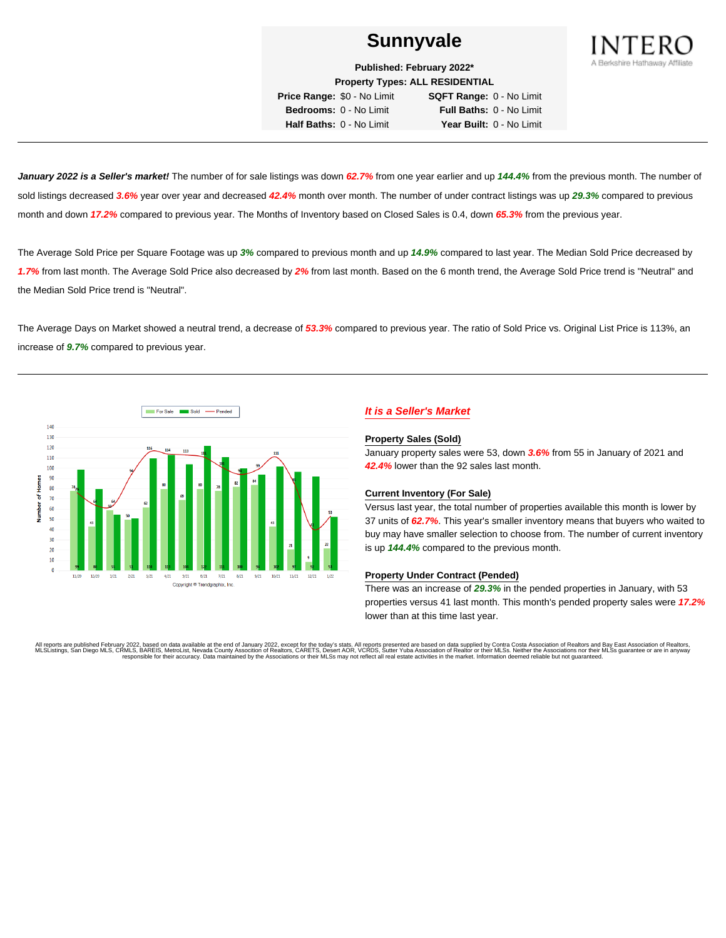

**Published: February 2022\* Property Types: ALL RESIDENTIAL**

**Price Range:** \$0 - No Limit **SQFT Range:** 0 - No Limit **Bedrooms:** 0 - No Limit **Full Baths:** 0 - No Limit **Half Baths:** 0 - No Limit **Year Built:** 0 - No Limit

**January 2022 is a Seller's market!** The number of for sale listings was down **62.7%** from one year earlier and up **144.4%** from the previous month. The number of sold listings decreased **3.6%** year over year and decreased **42.4%** month over month. The number of under contract listings was up **29.3%** compared to previous month and down **17.2%** compared to previous year. The Months of Inventory based on Closed Sales is 0.4, down **65.3%** from the previous year.

The Average Sold Price per Square Footage was up **3%** compared to previous month and up **14.9%** compared to last year. The Median Sold Price decreased by **1.7%** from last month. The Average Sold Price also decreased by **2%** from last month. Based on the 6 month trend, the Average Sold Price trend is "Neutral" and the Median Sold Price trend is "Neutral".

The Average Days on Market showed a neutral trend, a decrease of **53.3%** compared to previous year. The ratio of Sold Price vs. Original List Price is 113%, an increase of **9.7%** compared to previous year.



# **It is a Seller's Market**

#### **Property Sales (Sold)**

January property sales were 53, down **3.6%** from 55 in January of 2021 and **42.4%** lower than the 92 sales last month.

## **Current Inventory (For Sale)**

Versus last year, the total number of properties available this month is lower by 37 units of **62.7%**. This year's smaller inventory means that buyers who waited to buy may have smaller selection to choose from. The number of current inventory is up **144.4%** compared to the previous month.

#### **Property Under Contract (Pended)**

There was an increase of **29.3%** in the pended properties in January, with 53 properties versus 41 last month. This month's pended property sales were **17.2%** lower than at this time last year.

All reports are published February 2022, based on data available at the end of January 2022, except for the today's stats. All reports presented are based on data supplied by Contra Costa Association of Realtors and Bay Ea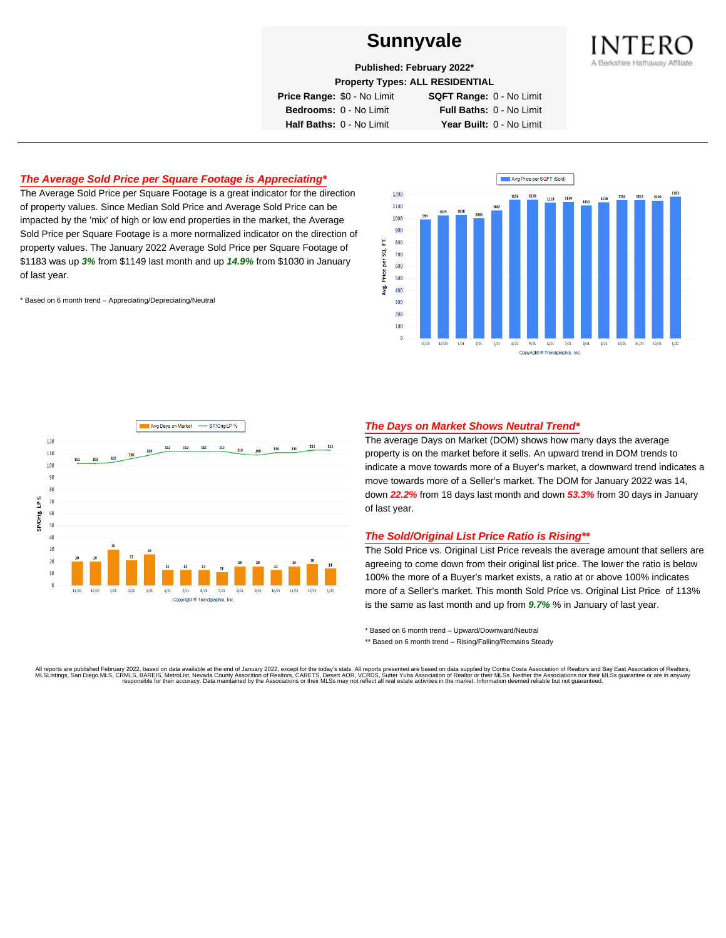

**Published: February 2022\***

**Property Types: ALL RESIDENTIAL**

**Price Range:** \$0 - No Limit **SQFT Range:** 0 - No Limit

**Bedrooms:** 0 - No Limit **Full Baths:** 0 - No Limit **Half Baths:** 0 - No Limit **Year Built:** 0 - No Limit

# **The Average Sold Price per Square Footage is Appreciating\***

The Average Sold Price per Square Footage is a great indicator for the direction of property values. Since Median Sold Price and Average Sold Price can be impacted by the 'mix' of high or low end properties in the market, the Average Sold Price per Square Footage is a more normalized indicator on the direction of property values. The January 2022 Average Sold Price per Square Footage of \$1183 was up **3%** from \$1149 last month and up **14.9%** from \$1030 in January of last year.

\* Based on 6 month trend – Appreciating/Depreciating/Neutral





## **The Days on Market Shows Neutral Trend\***

The average Days on Market (DOM) shows how many days the average property is on the market before it sells. An upward trend in DOM trends to indicate a move towards more of a Buyer's market, a downward trend indicates a move towards more of a Seller's market. The DOM for January 2022 was 14, down **22.2%** from 18 days last month and down **53.3%** from 30 days in January of last year.

## **The Sold/Original List Price Ratio is Rising\*\***

The Sold Price vs. Original List Price reveals the average amount that sellers are agreeing to come down from their original list price. The lower the ratio is below 100% the more of a Buyer's market exists, a ratio at or above 100% indicates more of a Seller's market. This month Sold Price vs. Original List Price of 113% is the same as last month and up from **9.7%** % in January of last year.

\* Based on 6 month trend – Upward/Downward/Neutral

\*\* Based on 6 month trend - Rising/Falling/Remains Steady

All reports are published February 2022, based on data available at the end of January 2022, except for the today's stats. All reports presented are based on data supplied by Contra Costa Association of Realtors and Bay Ea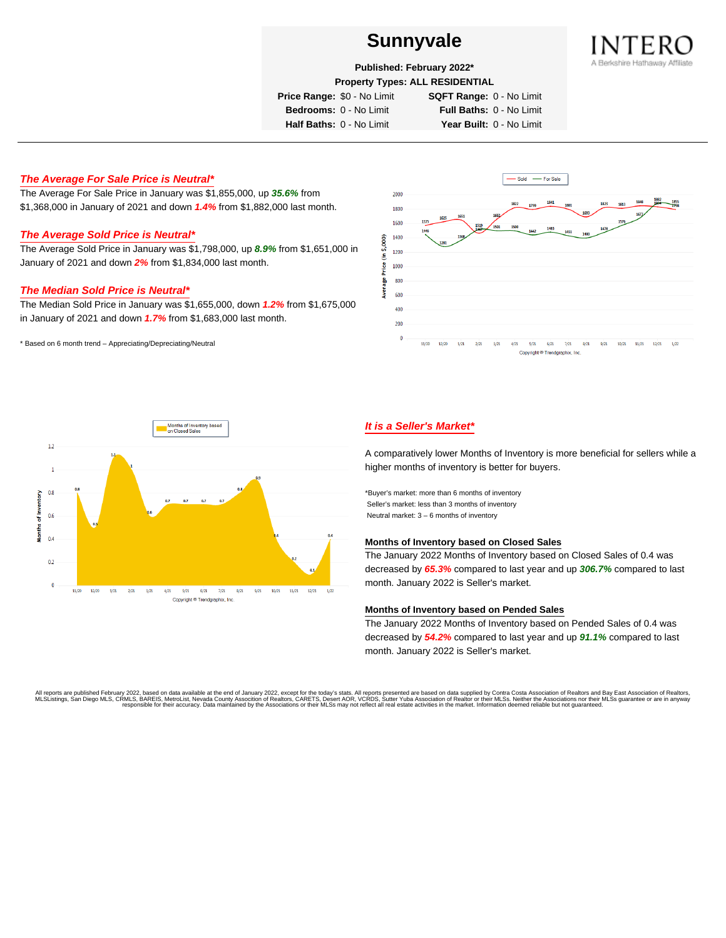

**Published: February 2022\***

**Property Types: ALL RESIDENTIAL**

**Price Range:** \$0 - No Limit **SQFT Range:** 0 - No Limit

**Bedrooms:** 0 - No Limit **Full Baths:** 0 - No Limit **Half Baths:** 0 - No Limit **Year Built:** 0 - No Limit

# **The Average For Sale Price is Neutral\***

The Average For Sale Price in January was \$1,855,000, up **35.6%** from \$1,368,000 in January of 2021 and down **1.4%** from \$1,882,000 last month.

# **The Average Sold Price is Neutral\***

The Average Sold Price in January was \$1,798,000, up **8.9%** from \$1,651,000 in January of 2021 and down **2%** from \$1,834,000 last month.

## **The Median Sold Price is Neutral\***

The Median Sold Price in January was \$1,655,000, down **1.2%** from \$1,675,000 in January of 2021 and down **1.7%** from \$1,683,000 last month.

\* Based on 6 month trend – Appreciating/Depreciating/Neutral





# **It is a Seller's Market\***

A comparatively lower Months of Inventory is more beneficial for sellers while a higher months of inventory is better for buyers.

\*Buyer's market: more than 6 months of inventory Seller's market: less than 3 months of inventory Neutral market: 3 – 6 months of inventory

#### **Months of Inventory based on Closed Sales**

The January 2022 Months of Inventory based on Closed Sales of 0.4 was decreased by **65.3%** compared to last year and up **306.7%** compared to last month. January 2022 is Seller's market.

#### **Months of Inventory based on Pended Sales**

The January 2022 Months of Inventory based on Pended Sales of 0.4 was decreased by **54.2%** compared to last year and up **91.1%** compared to last month. January 2022 is Seller's market.

All reports are published February 2022, based on data available at the end of January 2022, except for the today's stats. All reports presented are based on data supplied by Contra Costa Association of Realtors, and beat responsible for their accuracy. Data maintained by the Associations or their MLSs may not reflect all real estate activities in the market. Information deemed reliable but not quaranteed